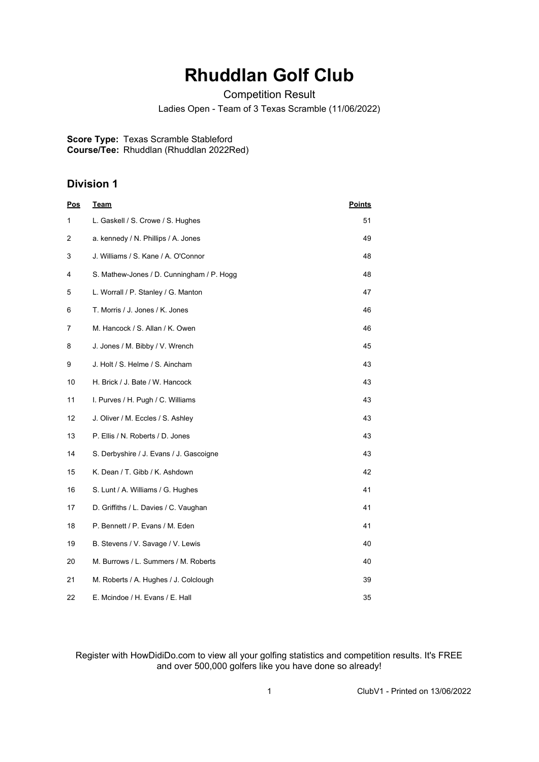## **Rhuddlan Golf Club**

Competition Result

Ladies Open - Team of 3 Texas Scramble (11/06/2022)

**Score Type:** Texas Scramble Stableford **Course/Tee:** Rhuddlan (Rhuddlan 2022Red)

## **Division 1**

| <b>Pos</b> | Team                                      | <b>Points</b> |
|------------|-------------------------------------------|---------------|
| 1          | L. Gaskell / S. Crowe / S. Hughes         | 51            |
| 2          | a. kennedy / N. Phillips / A. Jones       | 49            |
| 3          | J. Williams / S. Kane / A. O'Connor       | 48            |
| 4          | S. Mathew-Jones / D. Cunningham / P. Hogg | 48            |
| 5          | L. Worrall / P. Stanley / G. Manton       | 47            |
| 6          | T. Morris / J. Jones / K. Jones           | 46            |
| 7          | M. Hancock / S. Allan / K. Owen           | 46            |
| 8          | J. Jones / M. Bibby / V. Wrench           | 45            |
| 9          | J. Holt / S. Helme / S. Aincham           | 43            |
| 10         | H. Brick / J. Bate / W. Hancock           | 43            |
| 11         | I. Purves / H. Pugh / C. Williams         | 43            |
| 12         | J. Oliver / M. Eccles / S. Ashley         | 43            |
| 13         | P. Ellis / N. Roberts / D. Jones          | 43            |
| 14         | S. Derbyshire / J. Evans / J. Gascoigne   | 43            |
| 15         | K. Dean / T. Gibb / K. Ashdown            | 42            |
| 16         | S. Lunt / A. Williams / G. Hughes         | 41            |
| 17         | D. Griffiths / L. Davies / C. Vaughan     | 41            |
| 18         | P. Bennett / P. Evans / M. Eden           | 41            |
| 19         | B. Stevens / V. Savage / V. Lewis         | 40            |
| 20         | M. Burrows / L. Summers / M. Roberts      | 40            |
| 21         | M. Roberts / A. Hughes / J. Colclough     | 39            |
| 22         | E. Mcindoe / H. Evans / E. Hall           | 35            |

Register with HowDidiDo.com to view all your golfing statistics and competition results. It's FREE and over 500,000 golfers like you have done so already!